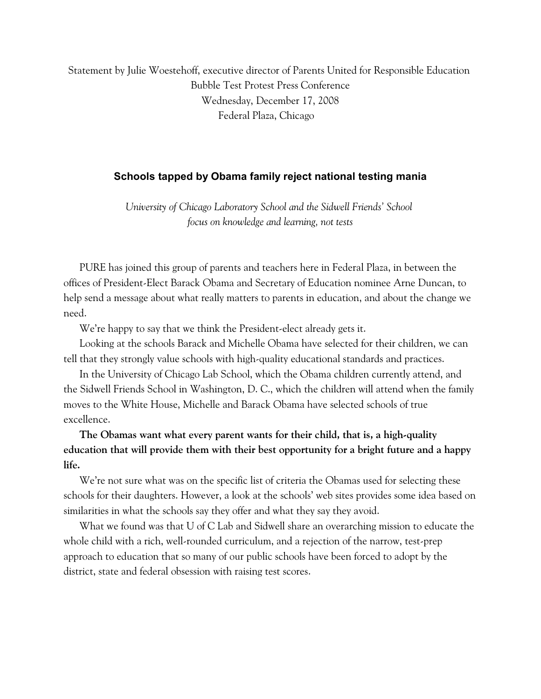Statement by Julie Woestehoff, executive director of Parents United for Responsible Education Bubble Test Protest Press Conference Wednesday, December 17, 2008 Federal Plaza, Chicago

#### **Schools tapped by Obama family reject national testing mania**

*University of Chicago Laboratory School and the Sidwell Friends' School focus on knowledge and learning, not tests*

PURE has joined this group of parents and teachers here in Federal Plaza, in between the offices of President-Elect Barack Obama and Secretary of Education nominee Arne Duncan, to help send a message about what really matters to parents in education, and about the change we need.

We're happy to say that we think the President-elect already gets it.

Looking at the schools Barack and Michelle Obama have selected for their children, we can tell that they strongly value schools with high-quality educational standards and practices.

In the University of Chicago Lab School, which the Obama children currently attend, and the Sidwell Friends School in Washington, D. C., which the children will attend when the family moves to the White House, Michelle and Barack Obama have selected schools of true excellence.

# **The Obamas want what every parent wants for their child, that is, a high-quality education that will provide them with their best opportunity for a bright future and a happy life.**

We're not sure what was on the specific list of criteria the Obamas used for selecting these schools for their daughters. However, a look at the schools' web sites provides some idea based on similarities in what the schools say they offer and what they say they avoid.

What we found was that U of C Lab and Sidwell share an overarching mission to educate the whole child with a rich, well-rounded curriculum, and a rejection of the narrow, test-prep approach to education that so many of our public schools have been forced to adopt by the district, state and federal obsession with raising test scores.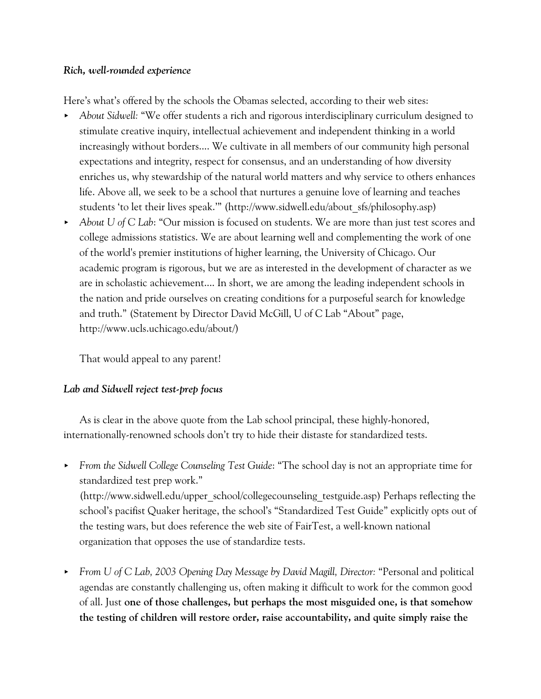## *Rich, well-rounded experience*

Here's what's offered by the schools the Obamas selected, according to their web sites:

- < *About Sidwell:* "We offer students a rich and rigorous interdisciplinary curriculum designed to stimulate creative inquiry, intellectual achievement and independent thinking in a world increasingly without borders.... We cultivate in all members of our community high personal expectations and integrity, respect for consensus, and an understanding of how diversity enriches us, why stewardship of the natural world matters and why service to others enhances life. Above all, we seek to be a school that nurtures a genuine love of learning and teaches students 'to let their lives speak.'" (http://www.sidwell.edu/about\_sfs/philosophy.asp)
- < *About U of C Lab*: "Our mission is focused on students. We are more than just test scores and college admissions statistics. We are about learning well and complementing the work of one of the world's premier institutions of higher learning, the University of Chicago. Our academic program is rigorous, but we are as interested in the development of character as we are in scholastic achievement.... In short, we are among the leading independent schools in the nation and pride ourselves on creating conditions for a purposeful search for knowledge and truth." (Statement by Director David McGill, U of C Lab "About" page, http://www.ucls.uchicago.edu/about/)

That would appeal to any parent!

## *Lab and Sidwell reject test-prep focus*

As is clear in the above quote from the Lab school principal, these highly-honored, internationally-renowned schools don't try to hide their distaste for standardized tests.

- < *From the Sidwell College Counseling Test Guide*: "The school day is not an appropriate time for standardized test prep work." (http://www.sidwell.edu/upper\_school/collegecounseling\_testguide.asp) Perhaps reflecting the school's pacifist Quaker heritage, the school's "Standardized Test Guide" explicitly opts out of the testing wars, but does reference the web site of FairTest, a well-known national organization that opposes the use of standardize tests.
- *< From U of C Lab, 2003 Opening Day Message by David Magill, Director:* "Personal and political agendas are constantly challenging us, often making it difficult to work for the common good of all. Just **one of those challenges, but perhaps the most misguided one, is that somehow the testing of children will restore order, raise accountability, and quite simply raise the**